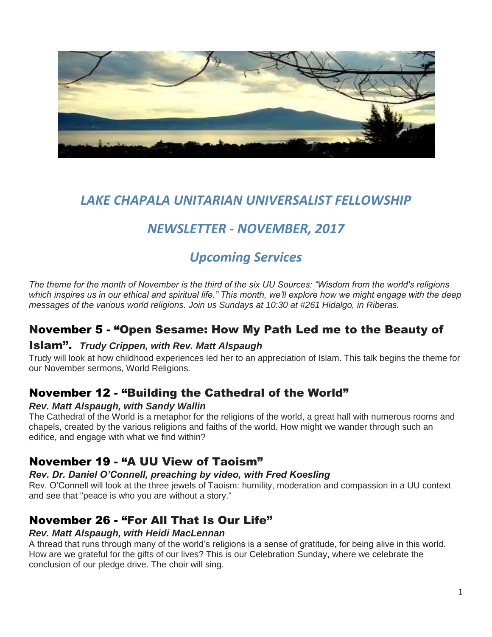

# *LAKE CHAPALA UNITARIAN UNIVERSALIST FELLOWSHIP*

# *NEWSLETTER - NOVEMBER, 2017*

# *Upcoming Services*

*The theme for the month of November is the third of the six UU Sources: "Wisdom from the world's religions which inspires us in our ethical and spiritual life." This month, we'll explore how we might engage with the deep messages of the various world religions. Join us Sundays at 10:30 at #261 Hidalgo, in Riberas.*

### November 5 - "Open Sesame: How My Path Led me to the Beauty of

#### Islam". *Trudy Crippen, with Rev. Matt Alspaugh*

Trudy will look at how childhood experiences led her to an appreciation of Islam. This talk begins the theme for our November sermons, World Religions.

### November 12 - "Building the Cathedral of the World"

#### *Rev. Matt Alspaugh, with Sandy Wallin*

The Cathedral of the World is a metaphor for the religions of the world, a great hall with numerous rooms and chapels, created by the various religions and faiths of the world. How might we wander through such an edifice, and engage with what we find within?

### November 19 - "A UU View of Taoism"

#### *Rev. Dr. Daniel O'Connell, preaching by video, with Fred Koesling*

Rev. O'Connell will look at the three jewels of Taoism: humility, moderation and compassion in a UU context and see that "peace is who you are without a story."

### November 26 - "For All That Is Our Life"

#### *Rev. Matt Alspaugh, with Heidi MacLennan*

A thread that runs through many of the world's religions is a sense of gratitude, for being alive in this world. How are we grateful for the gifts of our lives? This is our Celebration Sunday, where we celebrate the conclusion of our pledge drive. The choir will sing.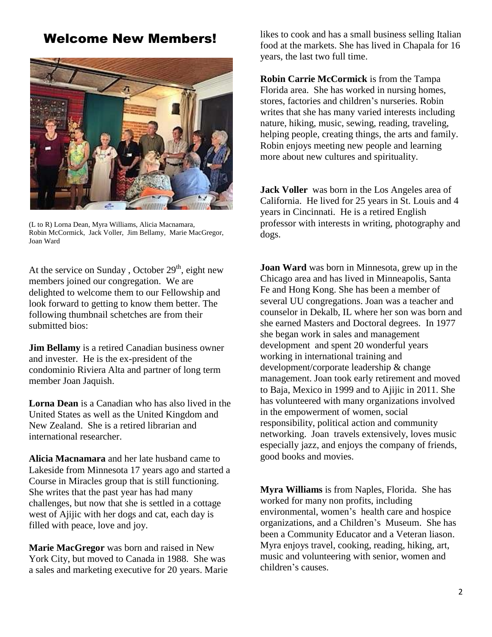### Welcome New Members!



(L to R) Lorna Dean, Myra Williams, Alicia Macnamara, Robin McCormick, Jack Voller, Jim Bellamy, Marie MacGregor, Joan Ward

At the service on Sunday, October  $29<sup>th</sup>$ , eight new members joined our congregation. We are delighted to welcome them to our Fellowship and look forward to getting to know them better. The following thumbnail schetches are from their submitted bios:

**Jim Bellamy** is a retired Canadian business owner and invester. He is the ex-president of the condominio Riviera Alta and partner of long term member Joan Jaquish.

**Lorna Dean** is a Canadian who has also lived in the United States as well as the United Kingdom and New Zealand. She is a retired librarian and international researcher.

**Alicia Macnamara** and her late husband came to Lakeside from Minnesota 17 years ago and started a Course in Miracles group that is still functioning. She writes that the past year has had many challenges, but now that she is settled in a cottage west of Ajijic with her dogs and cat, each day is filled with peace, love and joy.

**Marie MacGregor** was born and raised in New York City, but moved to Canada in 1988. She was a sales and marketing executive for 20 years. Marie likes to cook and has a small business selling Italian food at the markets. She has lived in Chapala for 16 years, the last two full time.

**Robin Carrie McCormick** is from the Tampa Florida area. She has worked in nursing homes, stores, factories and children's nurseries. Robin writes that she has many varied interests including nature, hiking, music, sewing, reading, traveling, helping people, creating things, the arts and family. Robin enjoys meeting new people and learning more about new cultures and spirituality.

**Jack Voller** was born in the Los Angeles area of California. He lived for 25 years in St. Louis and 4 years in Cincinnati. He is a retired English professor with interests in writing, photography and dogs.

**Joan Ward** was born in Minnesota, grew up in the Chicago area and has lived in Minneapolis, Santa Fe and Hong Kong. She has been a member of several UU congregations. Joan was a teacher and counselor in Dekalb, IL where her son was born and she earned Masters and Doctoral degrees. In 1977 she began work in sales and management development and spent 20 wonderful years working in international training and development/corporate leadership & change management. Joan took early retirement and moved to Baja, Mexico in 1999 and to Ajijic in 2011. She has volunteered with many organizations involved in the empowerment of women, social responsibility, political action and community networking. Joan travels extensively, loves music especially jazz, and enjoys the company of friends, good books and movies.

**Myra Williams** is from Naples, Florida. She has worked for many non profits, including environmental, women's health care and hospice organizations, and a Children's Museum. She has been a Community Educator and a Veteran liason. Myra enjoys travel, cooking, reading, hiking, art, music and volunteering with senior, women and children's causes.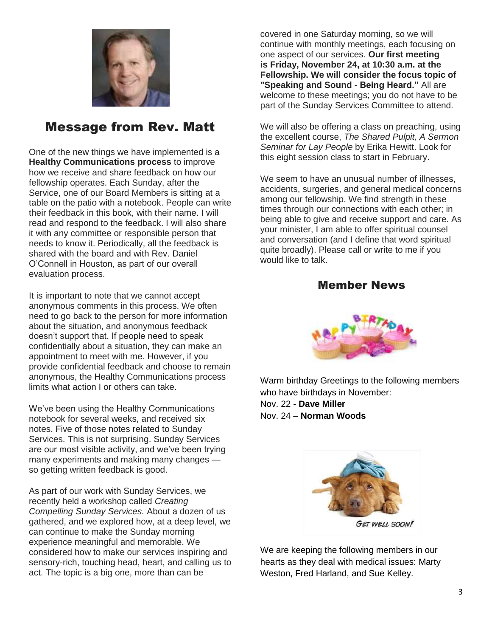

### Message from Rev. Matt

One of the new things we have implemented is a **Healthy Communications process** to improve how we receive and share feedback on how our fellowship operates. Each Sunday, after the Service, one of our Board Members is sitting at a table on the patio with a notebook. People can write their feedback in this book, with their name. I will read and respond to the feedback. I will also share it with any committee or responsible person that needs to know it. Periodically, all the feedback is shared with the board and with Rev. Daniel O'Connell in Houston, as part of our overall evaluation process.

It is important to note that we cannot accept anonymous comments in this process. We often need to go back to the person for more information about the situation, and anonymous feedback doesn't support that. If people need to speak confidentially about a situation, they can make an appointment to meet with me. However, if you provide confidential feedback and choose to remain anonymous, the Healthy Communications process limits what action I or others can take.

We've been using the Healthy Communications notebook for several weeks, and received six notes. Five of those notes related to Sunday Services. This is not surprising. Sunday Services are our most visible activity, and we've been trying many experiments and making many changes so getting written feedback is good.

As part of our work with Sunday Services, we recently held a workshop called *Creating Compelling Sunday Services.* About a dozen of us gathered, and we explored how, at a deep level, we can continue to make the Sunday morning experience meaningful and memorable. We considered how to make our services inspiring and sensory-rich, touching head, heart, and calling us to act. The topic is a big one, more than can be

covered in one Saturday morning, so we will continue with monthly meetings, each focusing on one aspect of our services. **Our first meeting is Friday, November 24, at 10:30 a.m. at the Fellowship. We will consider the focus topic of "Speaking and Sound - Being Heard."** All are welcome to these meetings; you do not have to be part of the Sunday Services Committee to attend.

We will also be offering a class on preaching, using the excellent course, *The Shared Pulpit, A Sermon Seminar for Lay People* by Erika Hewitt. Look for this eight session class to start in February.

We seem to have an unusual number of illnesses. accidents, surgeries, and general medical concerns among our fellowship. We find strength in these times through our connections with each other; in being able to give and receive support and care. As your minister, I am able to offer spiritual counsel and conversation (and I define that word spiritual quite broadly). Please call or write to me if you would like to talk.

#### Member News



Warm birthday Greetings to the following members who have birthdays in November: Nov. 22 - **Dave Miller** Nov. 24 – **Norman Woods**



We are keeping the following members in our hearts as they deal with medical issues: Marty Weston, Fred Harland, and Sue Kelley.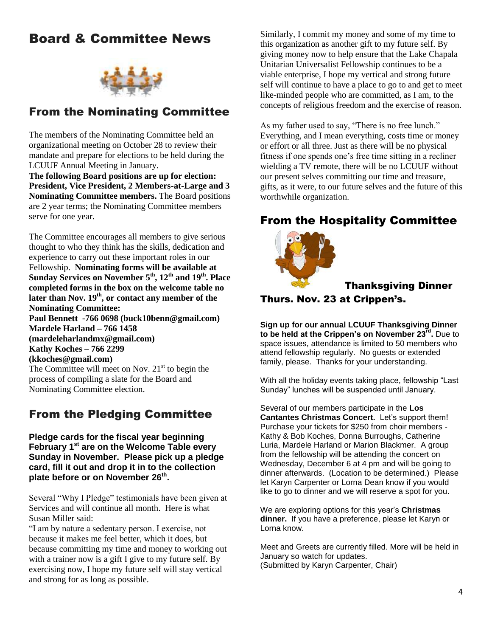## Board & Committee News



### From the Nominating Committee

The members of the Nominating Committee held an organizational meeting on October 28 to review their mandate and prepare for elections to be held during the LCUUF Annual Meeting in January.

**The following Board positions are up for election: President, Vice President, 2 Members-at-Large and 3 Nominating Committee members.** The Board positions are 2 year terms; the Nominating Committee members serve for one year.

The Committee encourages all members to give serious thought to who they think has the skills, dedication and experience to carry out these important roles in our Fellowship. **Nominating forms will be available at Sunday Services on November 5th, 12th and 19th. Place completed forms in the box on the welcome table no later than Nov. 19th, or contact any member of the Nominating Committee: Paul Bennett -766 0698 (buck10benn@gmail.com) Mardele Harland – 766 1458 (mardeleharlandmx@gmail.com) Kathy Koches – 766 2299 (kkoches@gmail.com)** The Committee will meet on Nov.  $21<sup>st</sup>$  to begin the process of compiling a slate for the Board and Nominating Committee election.

### From the Pledging Committee

**Pledge cards for the fiscal year beginning February 1st are on the Welcome Table every Sunday in November. Please pick up a pledge card, fill it out and drop it in to the collection plate before or on November 26th .** 

Several "Why I Pledge" testimonials have been given at Services and will continue all month. Here is what Susan Miller said:

"I am by nature a sedentary person. I exercise, not because it makes me feel better, which it does, but because committing my time and money to working out with a trainer now is a gift I give to my future self. By exercising now, I hope my future self will stay vertical and strong for as long as possible.

Similarly, I commit my money and some of my time to this organization as another gift to my future self. By giving money now to help ensure that the Lake Chapala Unitarian Universalist Fellowship continues to be a viable enterprise, I hope my vertical and strong future self will continue to have a place to go to and get to meet like-minded people who are committed, as I am, to the concepts of religious freedom and the exercise of reason.

As my father used to say, "There is no free lunch." Everything, and I mean everything, costs time or money or effort or all three. Just as there will be no physical fitness if one spends one's free time sitting in a recliner wielding a TV remote, there will be no LCUUF without our present selves committing our time and treasure, gifts, as it were, to our future selves and the future of this worthwhile organization.

### From the Hospitality Committee



#### Thanksgiving Dinner

Thurs. Nov. 23 at Crippen's.

**Sign up for our annual LCUUF Thanksgiving Dinner to be held at the Crippen's on November 23rd .** Due to space issues, attendance is limited to 50 members who attend fellowship regularly. No guests or extended family, please. Thanks for your understanding.

With all the holiday events taking place, fellowship "Last Sunday" lunches will be suspended until January.

Several of our members participate in the **Los Cantantes Christmas Concert.** Let's support them! Purchase your tickets for \$250 from choir members - Kathy & Bob Koches, Donna Burroughs, Catherine Luria, Mardele Harland or Marion Blackmer. A group from the fellowship will be attending the concert on Wednesday, December 6 at 4 pm and will be going to dinner afterwards. (Location to be determined.) Please let Karyn Carpenter or Lorna Dean know if you would like to go to dinner and we will reserve a spot for you.

We are exploring options for this year's **Christmas dinner.** If you have a preference, please let Karyn or Lorna know.

Meet and Greets are currently filled. More will be held in January so watch for updates. (Submitted by Karyn Carpenter, Chair)